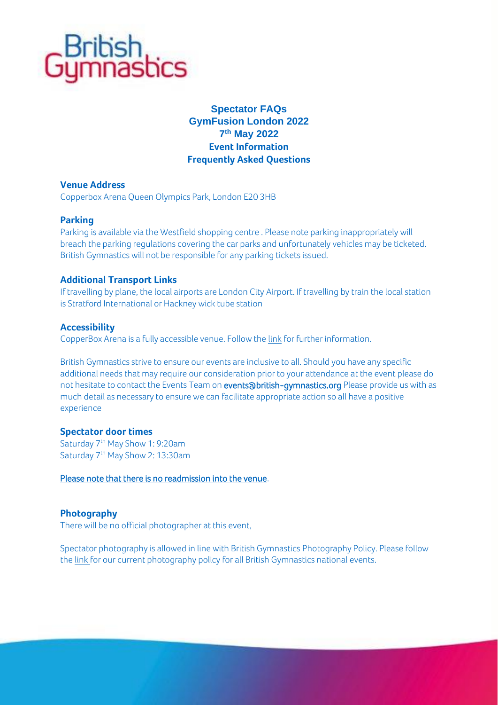

# **Spectator FAQs GymFusion London 2022 7 th May 2022 Event Information Frequently Asked Questions**

# **Venue Address**

Copperbox Arena Queen Olympics Park, London E20 3HB

### **Parking**

Parking is available via the Westfield shopping centre . Please note parking inappropriately will breach the parking regulations covering the car parks and unfortunately vehicles may be ticketed. British Gymnastics will not be responsible for any parking tickets issued.

### **Additional Transport Links**

If travelling by plane, the local airports are London City Airport. If travelling by train the local station is Stratford International or Hackney wick tube station

### **Accessibility**

CopperBox Arena is a fully accessible venue. Follow th[e link](https://copperboxarena.org.uk/contact) for further information.

British Gymnastics strive to ensure our events are inclusive to all. Should you have any specific additional needs that may require our consideration prior to your attendance at the event please do not hesitate to contact the Events Team o[n events@british-gymnastics.org](mailto:events@british-gymnastics.org) Please provide us with as much detail as necessary to ensure we can facilitate appropriate action so all have a positive experience

### **Spectator door times**

Saturday  $7<sup>th</sup>$  May Show 1: 9:20am Saturday 7<sup>th</sup> May Show 2: 13:30am

Please note that there is no readmission into the venue.

# **Photography**

There will be no official photographer at this event,

Spectator photography is allowed in line with British Gymnastics Photography Policy. Please follow th[e link](https://www.british-gymnastics.org/governance) for our current photography policy for all British Gymnastics national events.